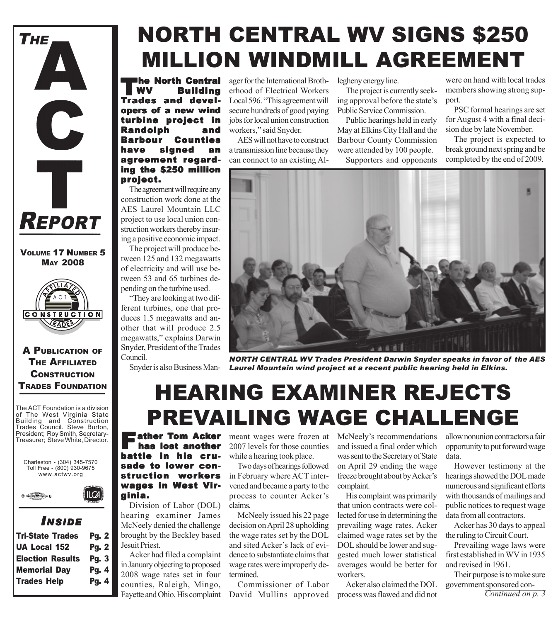

VOLUME 17 NUMBER 5 MAY 2008



A PUBLICATION OF THE AFFILIATED **CONSTRUCTION** TRADES FOUNDATION

The ACT Foundation is a division of The West Virginia State Building and Construction Trades Council. Steve Burton, President; Roy Smith, Secretary-Treasurer; Steve White, Director.

Charleston - (304) 345-7570 Toll Free - (800) 930-9675 www.actwv.org

 $ILCA$ 



### *I NSIDE*

| <b>Tri-State Trades</b> | <b>Pg. 2</b> |
|-------------------------|--------------|
| <b>UA Local 152</b>     | <b>Pg. 2</b> |
| <b>Election Results</b> | <b>Pg. 3</b> |
| <b>Memorial Day</b>     | Pg. 4        |
| <b>Trades Help</b>      | Pg. 4        |
|                         |              |

## NORTH CENTRAL WV SIGNS \$250 MILLION WINDMILL AGREEMENT

The North Central Building and developers of a new wind turbine project in Randolph and Barbour Counties have signed an agreement regarding the \$250 million project.

The agreement will require any construction work done at the AES Laurel Mountain LLC project to use local union construction workers thereby insuring a positive economic impact.

The project will produce between 125 and 132 megawatts of electricity and will use between 53 and 65 turbines depending on the turbine used.

"They are looking at two different turbines, one that produces 1.5 megawatts and another that will produce 2.5 megawatts," explains Darwin Snyder, President of the Trades Council.

ager for the International Brotherhood of Electrical Workers Local 596. "This agreement will secure hundreds of good paying jobs for local union construction workers," said Snyder.

AES will not have to construct a transmission line because they can connect to an existing Allegheny energy line.

The project is currently seeking approval before the state's Public Service Commission.

Public hearings held in early May at Elkins City Hall and the Barbour County Commission were attended by 100 people.

Supporters and opponents

were on hand with local trades members showing strong support.

PSC formal hearings are set for August 4 with a final decision due by late November.

The project is expected to break ground next spring and be completed by the end of 2009.



Snyder is also Business Man-*Laurel Mountain wind project at a recent public hearing held in Elkins. NORTH CENTRAL WV Trades President Darwin Snyder speaks in favor of the AES*

### HEARING EXAMINER REJECTS PREVAILING WAGE CHALLENGE

has lost another battle in his crusade to lower construction workers wages in West Virginia.

Division of Labor (DOL) hearing examiner James McNeely denied the challenge brought by the Beckley based Jesuit Priest.

Acker had filed a complaint in January objecting to proposed 2008 wage rates set in four counties, Raleigh, Mingo, Fayette and Ohio. His complaint

**Example 12 ather Tom Acker** meant wages were frozen at McNeely's recommendations<br> **has lost another** 2007 levels for those counties and issued a final order which 2007 levels for those counties while a hearing took place.

> Two days of hearings followed in February where ACT intervened and became a party to the process to counter Acker's claims.

> McNeely issued his 22 page decision on April 28 upholding the wage rates set by the DOL and sited Acker's lack of evidence to substantiate claims that wage rates were improperly determined.

> Commissioner of Labor David Mullins approved

and issued a final order which was sent to the Secretary of State on April 29 ending the wage freeze brought about by Acker's complaint.

His complaint was primarily that union contracts were collected for use in determining the prevailing wage rates. Acker claimed wage rates set by the DOL should be lower and suggested much lower statistical averages would be better for workers.

Acker also claimed the DOL process was flawed and did not

allow nonunion contractors a fair opportunity to put forward wage data.

However testimony at the hearings showed the DOL made numerous and significant efforts with thousands of mailings and public notices to request wage data from all contractors.

Acker has 30 days to appeal the ruling to Circuit Court.

Prevailing wage laws were first established in WV in 1935 and revised in 1961.

Their purpose is to make sure government sponsored con-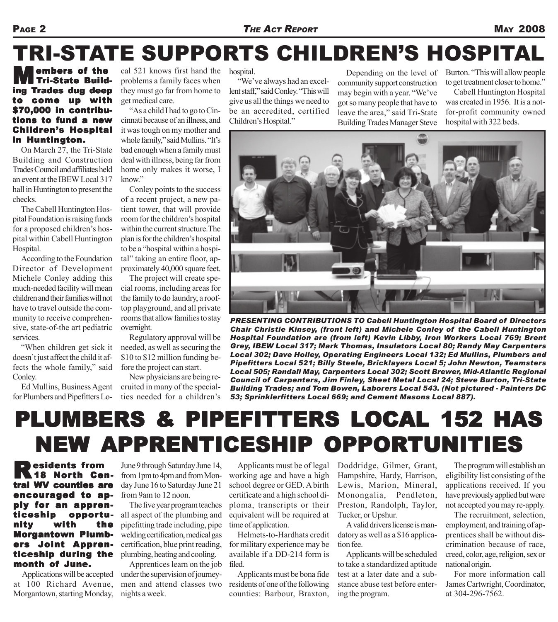# TRI-STATE SUPPORTS CHILDREN'S HOSPITAL

embers of the Tri-State Building Trades dug deep to come up with \$70,000 in contributions to fund a new **Children's Hospital** in Huntington.

On March 27, the Tri-State Building and Construction Trades Council and affiliates held an event at the IBEW Local 317 hall in Huntington to present the checks.

The Cabell Huntington Hospital Foundation is raising funds for a proposed children's hospital within Cabell Huntington Hospital.

According to the Foundation Director of Development Michele Conley adding this much-needed facility will mean children and their families will not have to travel outside the community to receive comprehensive, state-of-the art pediatric services.

"When children get sick it doesn't just affect the child it affects the whole family," said Conley.

Ed Mullins, Business Agent for Plumbers and Pipefitters Lo-

cal 521 knows first hand the hospital. problems a family faces when they must go far from home to get medical care.

"As a child I had to go to Cincinnati because of an illness, and it was tough on my mother and whole family," said Mullins. "It's bad enough when a family must deal with illness, being far from home only makes it worse, I know"

Conley points to the success of a recent project, a new patient tower, that will provide room for the children's hospital within the current structure.The plan is for the children's hospital to be a "hospital within a hospital" taking an entire floor, approximately 40,000 square feet.

The project will create special rooms, including areas for the family to do laundry, a rooftop playground, and all private rooms that allow families to stay overnight.

Regulatory approval will be needed, as well as securing the \$10 to \$12 million funding before the project can start.

New physicians are being recruited in many of the specialties needed for a children's

"We've always had an excellent staff," said Conley. "This will give us all the things we need to be an accredited, certified Children's Hospital."

Depending on the level of community support construction may begin with a year. "We've got so many people that have to leave the area," said Tri-State Building Trades Manager Steve

Burton. "This will allow people to get treatment closer to home."

Cabell Huntington Hospital was created in 1956. It is a notfor-profit community owned hospital with 322 beds.



*PRESENTING CONTRIBUTIONS TO Cabell Huntington Hospital Board of Directors Chair Christie Kinsey, (front left) and Michele Conley of the Cabell Huntington Hospital Foundation are (from left) Kevin Libby, Iron Workers Local 769; Brent Grey, IBEW Local 317; Mark Thomas, Insulators Local 80; Randy May Carpenters Local 302; Dave Holley, Operating Engineers Local 132; Ed Mullins, Plumbers and Pipefitters Local 521; Billy Steele, Bricklayers Local 5; John Newton, Teamsters Local 505; Randall May, Carpenters Local 302; Scott Brewer, Mid-Atlantic Regional Council of Carpenters, Jim Finley, Sheet Metal Local 24; Steve Burton, Tri-State Building Trades; and Tom Bowen, Laborers Local 543. (Not pictured - Painters DC 53; Sprinklerfitters Local 669; and Cement Masons Local 887).*

### PLUMBERS & PIPEFITTERS LOCAL 152 HAS NEW APPRENTICESHIP OPPORTUNITIES NEW APPRENTICESHIP OPPORTUNITIES

**Pesidents from** June 9 through Saturday June 14,<br> **18 North Cen-** from 1pm to 4pm and from Montral WV counties are encouraged to apply for an apprenticeship opportunity with the **Morgantown Plumb**ers Joint Appren- Joint Apprenticeship during the month of June.

Applications will be accepted at 100 Richard Avenue, Morgantown, starting Monday, June 9 through Saturday June 14, day June 16 to Saturday June 21 from 9am to 12 noon.

The five year program teaches all aspect of the plumbing and pipefitting trade including, pipe welding certification, medical gas certification, blue print reading, plumbing, heating and cooling.

Apprentices learn on the job under the supervision of journeymen and attend classes two nights a week.

Applicants must be of legal working age and have a high school degree or GED. A birth certificate and a high school diploma, transcripts or their equivalent will be required at time of application.

Helmets-to-Hardhats credit for military experience may be available if a DD-214 form is filed.

Applicants must be bona fide residents of one of the following counties: Barbour, Braxton, Doddridge, Gilmer, Grant, Hampshire, Hardy, Harrison, Lewis, Marion, Mineral, Monongalia, Pendleton, Preston, Randolph, Taylor, Tucker, or Upshur.

A valid drivers license is mandatory as well as a \$16 application fee.

Applicants will be scheduled to take a standardized aptitude test at a later date and a substance abuse test before entering the program.

The program will establish an eligibility list consisting of the applications received. If you have previously applied but were not accepted you may re-apply.

The recruitment, selection, employment, and training of apprentices shall be without discrimination because of race, creed, color, age, religion, sex or national origin.

For more information call James Cartwright, Coordinator, at 304-296-7562.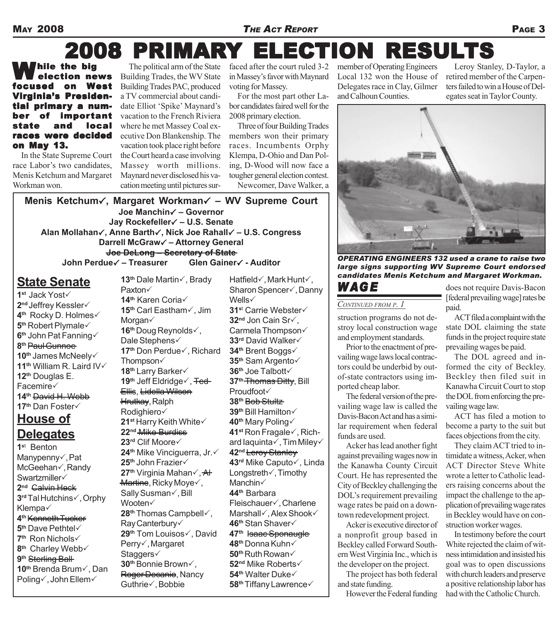#### MAY 2008 *THE ACT REPORT* PAGE 3

# 2008 PRIMARY ELECTION RESULTS

Thile the big election news focused on West Virginia's Presidential primary a number of important **local** races were decided on May 13.

In the State Supreme Court race Labor's two candidates, Menis Ketchum and Margaret Workman won.

The political arm of the State Building Trades, the WV State Building Trades PAC, produced a TV commercial about candidate Elliot 'Spike' Maynard's vacation to the French Riviera where he met Massey Coal executive Don Blankenship. The vacation took place right before the Court heard a case involving Massey worth millions. Maynard never disclosed his vacation meeting until pictures sur-

faced after the court ruled 3-2 in Massey's favor with Maynard voting for Massey.

For the most part other Labor candidates faired well for the 2008 primary election.

Three of four Building Trades members won their primary races. Incumbents Orphy Klempa, D-Ohio and Dan Poling, D-Wood will now face a tougher general election contest. Newcomer, Dave Walker, a member of Operating Engineers Local 132 won the House of Delegates race in Clay, Gilmer and Calhoun Counties.

Leroy Stanley, D-Taylor, a retired member of the Carpenters failed to win a House of Delegates seat in Taylor County.



*OPERATING ENGINEERS 132 used a crane to raise two large signs supporting WV Supreme Court endorsed candidates Menis Ketchum and Margaret Workman.*

#### *CONTINUED FROM P. 1*

*W AG E*

struction programs do not destroy local construction wage and employment standards.

Prior to the enactment of prevailing wage laws local contractors could be underbid by outof-state contractors using imported cheap labor.

The federal version of the prevailing wage law is called the Davis-Bacon Act and has a similar requirement when federal funds are used.

Acker has lead another fight against prevailing wages now in the Kanawha County Circuit Court. He has represented the City of Beckley challenging the DOL's requirement prevailing wage rates be paid on a downtown redevelopment project.

Acker is executive director of a nonprofit group based in Beckley called Forward Southern West Virginia Inc., which is the developer on the project.

The project has both federal and state funding.

However the Federal funding

does not require Davis-Bacon [federal prevailing wage] rates be paid.

ACT filed a complaint with the state DOL claiming the state funds in the project require state prevailing wages be paid.

The DOL agreed and informed the city of Beckley. Beckley then filed suit in Kanawha Circuit Court to stop the DOL from enforcing the prevailing wage law.

ACT has filed a motion to become a party to the suit but faces objections from the city.

They claim ACT tried to intimidate a witness, Acker, when ACT Director Steve White wrote a letter to Catholic leaders raising concerns about the impact the challenge to the application of prevailing wage rates in Beckley would have on construction worker wages.

In testimony before the court White rejected the claim of witness intimidation and insisted his goal was to open discussions with church leaders and preserve a positive relationship labor has had with the Catholic Church.

**Menis Ketchum**3**, Margaret Workman**3 **– WV Supreme Court Joe Manchin**3 **– Governor Jay Rockefeller**3 **– U.S. Senate Alan Mollahan**3**, Anne Barth**3**, Nick Joe Rahall**3 **– U.S. Congress Darrell McGraw**3 **– Attorney General Joe DeLong – Secretary of State John Perdue√ – Treasurer Glen Gainer√ - Auditor** 

**13<sup>th</sup> Dale Martin√, Brady** 

#### **State Senate**

**1st Jack Yost√** 2<sup>nd</sup> Jeffrey Kessler√ **4<sup>th</sup> Rocky D. Holmes√ 5<sup>th</sup> Robert Plymale√ 6th** John Pat Fanning3 **8th** Paul Gunnoe 10<sup>th</sup> James McNeely $\checkmark$ 11<sup>th</sup> William R. Laird IV $\checkmark$ **12th** Douglas E. Facemire $\checkmark$ **14th** David H. Webb **17<sup>th</sup>** Dan Foster√ **House of Delegates**

**1s**t Benton Manypenny $\checkmark$ , Pat McGeehan√, Randy Swartzmiller√ **2nd** Calvin Heck **3<sup>rd</sup>** Tal Hutchins√, Orphy Klempa $\checkmark$ **4th** Kenneth Tucker **5<sup>th</sup>** Dave Pethtel√ **7<sup>th</sup>** Ron Nichols√ 8<sup>th</sup> Charley Webb√ **9th** Sterling Ball **10<sup>th</sup> Brenda Brum√, Dan** Poling√, John Ellem√

Paxton $\checkmark$ **14<sup>th</sup> Karen Coria√ 15<sup>th</sup> Carl Eastham√, Jim** Morgan $\checkmark$ **16<sup>th</sup> Doug Reynolds√,** Dale Stephens√ **17<sup>th</sup> Don Perdue√, Richard** Thompson $\checkmark$ **18<sup>th</sup>** Larry Barker√ **19<sup>th</sup> Jeff Eldridge√, <del>Ted</del>** Ellis, Lidella Wilson Hrutkay, Ralph Rodighiero√ **21st** Harry Keith White3 **22nd** Mike Burdiss **23<sup>rd</sup>** Clif Moore√ **24<sup>th</sup> Mike Vinciguerra, Jr.√ 25<sup>th</sup> John Frazier√ 27<sup>th</sup> Virginia Mahan√, AH**  $M$ artine, Ricky Moye $\checkmark$ , Sally Susman√, Bill Wooten $\checkmark$ **28<sup>th</sup> Thomas Campbell√,** Ray Canterbury $\checkmark$ **29<sup>th</sup> Tom Louisos√, David** Perry√, Margaret Staggers√ **30<sup>th</sup> Bonnie Brown√,** Roger Decanio, Nancy Guthrie√, Bobbie

Hatfield $\checkmark$ , Mark Hunt $\checkmark$ , Sharon Spencer√, Danny Wells√ **31st Carrie Webster√ 32<sup>nd</sup> Jon Cain Sr√,** Carmela Thompson3 **33<sup>rd</sup>** David Walker√ **34<sup>th</sup> Brent Boggs√ 35<sup>th</sup> Sam Argento√ 36<sup>th</sup> Joe Talbott√ 37th** Thomas Ditty, Bill Proudfoot√ **38th** Bob Stultz **39<sup>th</sup> Bill Hamilton√ 40<sup>th</sup> Mary Poling√ 41st Ron Fragale√, Rich**ard laquinta $\checkmark$ , Tim Miley $\checkmark$ **42nd** Leroy Stanley **43<sup>rd</sup>** Mike Caputo√, Linda Longstreth√, Timothy Manchin<sup> $\checkmark$ </sup> **44th** Barbara Fleischauer√, Charlene Marshall√, Alex Shook√ **46<sup>th</sup> Stan Shaver√ 47th** Isaac Sponaugle **48<sup>th</sup> Donna Kuhn√ 50<sup>th</sup>** Ruth Rowan√ **52<sup>nd</sup>** Mike Roberts√ **54<sup>th</sup>** Walter Duke√ **58<sup>th</sup> Tiffany Lawrence√**